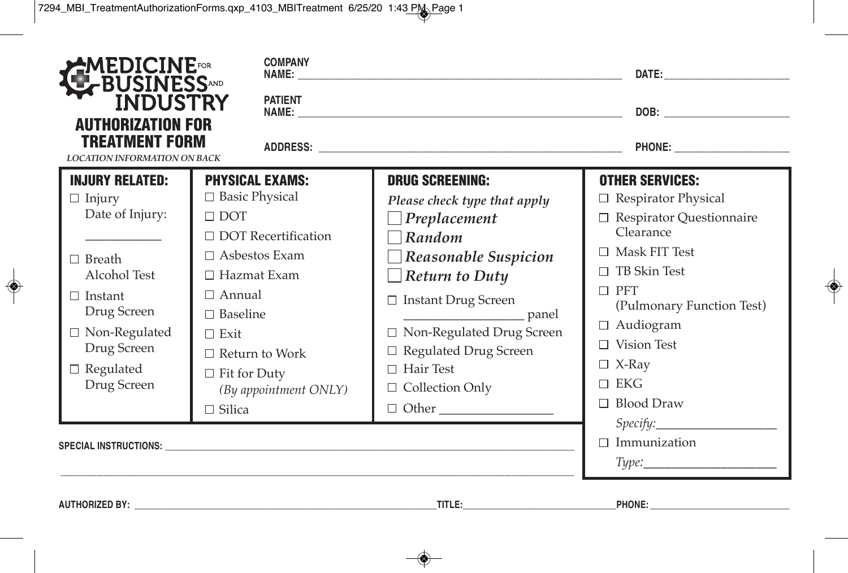| MEDICINE <mark>ror</mark><br>≮BUSINESS^ND<br>■ INDUSTRY    | <b>COMPANY</b><br><b>PATIENT</b>                                         |                                                                                 | DATE: A PARTICULAR CONTROL CONTROL CONTROL                                         |  |
|------------------------------------------------------------|--------------------------------------------------------------------------|---------------------------------------------------------------------------------|------------------------------------------------------------------------------------|--|
| <b>AUTHORIZATION FOR</b><br>TREATMENT FORM                 |                                                                          |                                                                                 |                                                                                    |  |
| <b>LOCATION INFORMATION ON BACK</b>                        |                                                                          |                                                                                 |                                                                                    |  |
| <b>INJURY RELATED:</b><br>$\Box$ Injury<br>Date of Injury: | <b>PHYSICAL EXAMS:</b><br>$\Box$ Basic Physical<br>$\Box$ DOT            | <b>DRUG SCREENING:</b><br>Please check type that apply<br>$\Box$ Preplacement   | <b>OTHER SERVICES:</b><br>$\Box$ Respirator Physical<br>□ Respirator Questionnaire |  |
| $\Box$ Breath<br>Alcohol Test                              | $\Box$ DOT Recertification<br>$\Box$ Asbestos Exam<br>$\Box$ Hazmat Exam | $\neg$ Random<br>$\Box$ Reasonable Suspicion<br>$\Box$ Return to Duty           | Clearance<br>$\Box$ Mask FIT Test<br>$\Box$ TB Skin Test                           |  |
| $\Box$ Instant<br>Drug Screen                              | $\Box$ Annual<br>$\Box$ Baseline                                         | $\Box$ Instant Drug Screen                                                      | $\Box$ PFT<br>(Pulmonary Function Test)                                            |  |
| $\hfill\Box$ Non-Regulated<br>Drug Screen                  | $\Box$ Exit<br>$\Box$ Return to Work                                     | □ Non-Regulated Drug Screen<br>$\Box$ Regulated Drug Screen<br>$\Box$ Hair Test | $\Box$ Audiogram<br>Vision Test<br>П<br>$\Box$ X-Ray                               |  |
| $\Box$ Regulated<br>Drug Screen                            | $\Box$ Fit for Duty<br>(By appointment ONLY)<br>$\Box$ Silica            | $\Box$ Collection Only                                                          | $\Box$ EKG<br><b>Blood Draw</b><br>П.                                              |  |
|                                                            |                                                                          |                                                                                 | Specify:<br>$\Box$ Immunization                                                    |  |

| <b>AUTHORIZED BY</b><br>. | – TITL⊾ | <b>PHONE</b> |  |
|---------------------------|---------|--------------|--|
|                           |         |              |  |